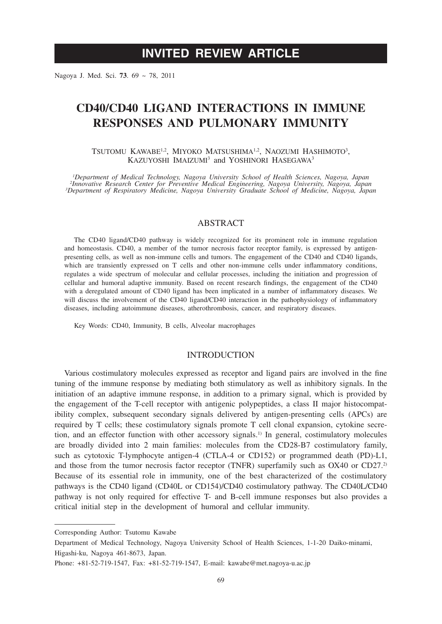# **INVITED REVIEW ARTICLE**

Nagoya J. Med. Sci. **73**. 69 ~ 78, 2011

# **CD40/CD40 LIGAND INTERACTIONS IN IMMUNE RESPONSES AND PULMONARY IMMUNITY**

TSUTOMU KAWABE<sup>1,2</sup>, MIYOKO MATSUSHIMA<sup>1,2</sup>, NAOZUMI HASHIMOTO<sup>3</sup>, KAZUYOSHI IMAIZUMI<sup>3</sup> and YOSHINORI HASEGAWA<sup>3</sup>

<sup>1</sup>Department of Medical Technology, Nagoya University School of Health Sciences, Nagoya, Japan<br><sup>2</sup> Innovative Research Center for Preventive Medical Engineering, Nagoya University, Nagoya, Japan<br><sup>3</sup> Department of Respirat *Department of Respiratory Medicine, Nagoya University Graduate School of Medicine, Nagoya, Japan*

# ABSTRACT

The CD40 ligand/CD40 pathway is widely recognized for its prominent role in immune regulation and homeostasis. CD40, a member of the tumor necrosis factor receptor family, is expressed by antigenpresenting cells, as well as non-immune cells and tumors. The engagement of the CD40 and CD40 ligands, which are transiently expressed on T cells and other non-immune cells under inflammatory conditions, regulates a wide spectrum of molecular and cellular processes, including the initiation and progression of cellular and humoral adaptive immunity. Based on recent research findings, the engagement of the CD40 with a deregulated amount of CD40 ligand has been implicated in a number of inflammatory diseases. We will discuss the involvement of the CD40 ligand/CD40 interaction in the pathophysiology of inflammatory diseases, including autoimmune diseases, atherothrombosis, cancer, and respiratory diseases.

Key Words: CD40, Immunity, B cells, Alveolar macrophages

## INTRODUCTION

Various costimulatory molecules expressed as receptor and ligand pairs are involved in the fine tuning of the immune response by mediating both stimulatory as well as inhibitory signals. In the initiation of an adaptive immune response, in addition to a primary signal, which is provided by the engagement of the T-cell receptor with antigenic polypeptides, a class II major histocompatibility complex, subsequent secondary signals delivered by antigen-presenting cells (APCs) are required by T cells; these costimulatory signals promote T cell clonal expansion, cytokine secretion, and an effector function with other accessory signals.1) In general, costimulatory molecules are broadly divided into 2 main families: molecules from the CD28-B7 costimulatory family, such as cytotoxic T-lymphocyte antigen-4 (CTLA-4 or CD152) or programmed death (PD)-L1, and those from the tumor necrosis factor receptor (TNFR) superfamily such as  $OX40$  or  $CD27<sup>2</sup>$ Because of its essential role in immunity, one of the best characterized of the costimulatory pathways is the CD40 ligand (CD40L or CD154)/CD40 costimulatory pathway. The CD40L/CD40 pathway is not only required for effective T- and B-cell immune responses but also provides a critical initial step in the development of humoral and cellular immunity.

Corresponding Author: Tsutomu Kawabe

Department of Medical Technology, Nagoya University School of Health Sciences, 1-1-20 Daiko-minami, Higashi-ku, Nagoya 461-8673, Japan.

Phone: +81-52-719-1547, Fax: +81-52-719-1547, E-mail: kawabe@met.nagoya-u.ac.jp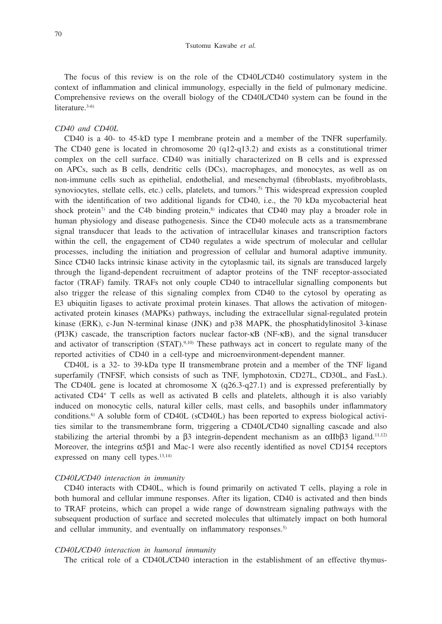The focus of this review is on the role of the CD40L/CD40 costimulatory system in the context of inflammation and clinical immunology, especially in the field of pulmonary medicine. Comprehensive reviews on the overall biology of the CD40L/CD40 system can be found in the literature.<sup>3-6)</sup>

#### *CD40 and CD40L*

CD40 is a 40- to 45-kD type I membrane protein and a member of the TNFR superfamily. The CD40 gene is located in chromosome 20 (q12-q13.2) and exists as a constitutional trimer complex on the cell surface. CD40 was initially characterized on B cells and is expressed on APCs, such as B cells, dendritic cells (DCs), macrophages, and monocytes, as well as on non-immune cells such as epithelial, endothelial, and mesenchymal (fibroblasts, myofibroblasts, synoviocytes, stellate cells, etc.) cells, platelets, and tumors.<sup>5)</sup> This widespread expression coupled with the identification of two additional ligands for CD40, i.e., the 70 kDa mycobacterial heat shock protein<sup>7)</sup> and the C4b binding protein,<sup>8)</sup> indicates that CD40 may play a broader role in human physiology and disease pathogenesis. Since the CD40 molecule acts as a transmembrane signal transducer that leads to the activation of intracellular kinases and transcription factors within the cell, the engagement of CD40 regulates a wide spectrum of molecular and cellular processes, including the initiation and progression of cellular and humoral adaptive immunity. Since CD40 lacks intrinsic kinase activity in the cytoplasmic tail, its signals are transduced largely through the ligand-dependent recruitment of adaptor proteins of the TNF receptor-associated factor (TRAF) family. TRAFs not only couple CD40 to intracellular signalling components but also trigger the release of this signaling complex from CD40 to the cytosol by operating as E3 ubiquitin ligases to activate proximal protein kinases. That allows the activation of mitogenactivated protein kinases (MAPKs) pathways, including the extracellular signal-regulated protein kinase (ERK), c-Jun N-terminal kinase (JNK) and p38 MAPK, the phosphatidylinositol 3-kinase (PI3K) cascade, the transcription factors nuclear factor-kB (NF-kB), and the signal transducer and activator of transcription (STAT).<sup>9,10)</sup> These pathways act in concert to regulate many of the reported activities of CD40 in a cell-type and microenvironment-dependent manner.

CD40L is a 32- to 39-kDa type II transmembrane protein and a member of the TNF ligand superfamily (TNFSF, which consists of such as TNF, lymphotoxin, CD27L, CD30L, and FasL). The CD40L gene is located at chromosome  $X$  (q26.3-q27.1) and is expressed preferentially by activated CD4+ T cells as well as activated B cells and platelets, although it is also variably induced on monocytic cells, natural killer cells, mast cells, and basophils under inflammatory conditions.6) A soluble form of CD40L (sCD40L) has been reported to express biological activities similar to the transmembrane form, triggering a CD40L/CD40 signalling cascade and also stabilizing the arterial thrombi by a  $\beta$ 3 integrin-dependent mechanism as an  $\alpha$ IIb $\beta$ 3 ligand.<sup>11,12)</sup> Moreover, the integrins  $\alpha$ 5 $\beta$ 1 and Mac-1 were also recently identified as novel CD154 receptors expressed on many cell types.<sup>13,14)</sup>

#### *CD40L/CD40 interaction in immunity*

CD40 interacts with CD40L, which is found primarily on activated T cells, playing a role in both humoral and cellular immune responses. After its ligation, CD40 is activated and then binds to TRAF proteins, which can propel a wide range of downstream signaling pathways with the subsequent production of surface and secreted molecules that ultimately impact on both humoral and cellular immunity, and eventually on inflammatory responses.<sup>5)</sup>

#### *CD40L/CD40 interaction in humoral immunity*

The critical role of a CD40L/CD40 interaction in the establishment of an effective thymus-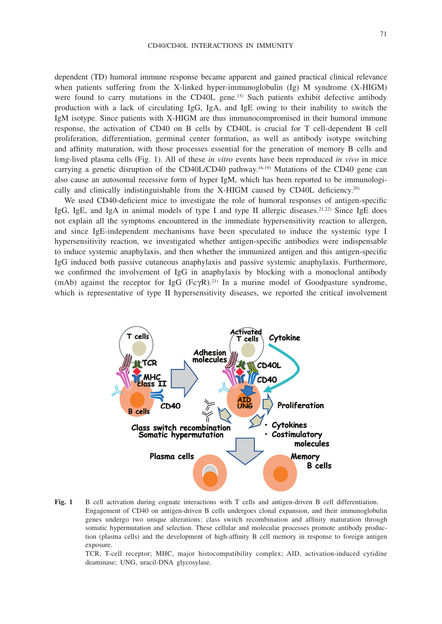dependent (TD) humoral immune response became apparent and gained practical clinical relevance when patients suffering from the X-linked hyper-immunoglobulin (Ig) M syndrome (X-HIGM) were found to carry mutations in the CD40L gene.15) Such patients exhibit defective antibody production with a lack of circulating IgG, IgA, and IgE owing to their inability to switch the IgM isotype. Since patients with X-HIGM are thus immunocompromised in their humoral immune response, the activation of CD40 on B cells by CD40L is crucial for T cell-dependent B cell proliferation, differentiation, germinal center formation, as well as antibody isotype switching and affinity maturation, with those processes essential for the generation of memory B cells and long-lived plasma cells (Fig. 1). All of these *in vitro* events have been reproduced *in vivo* in mice carrying a genetic disruption of the CD40L/CD40 pathway.<sup>16-19)</sup> Mutations of the CD40 gene can also cause an autosomal recessive form of hyper IgM, which has been reported to be immunologically and clinically indistinguishable from the X-HIGM caused by CD40L deficiency.<sup>20)</sup>

We used CD40-deficient mice to investigate the role of humoral responses of antigen-specific IgG, IgE, and IgA in animal models of type I and type II allergic diseases.<sup>21,22)</sup> Since IgE does not explain all the symptoms encountered in the immediate hypersensitivity reaction to allergen, and since IgE-independent mechanisms have been speculated to induce the systemic type I hypersensitivity reaction, we investigated whether antigen-specific antibodies were indispensable to induce systemic anaphylaxis, and then whether the immunized antigen and this antigen-specific IgG induced both passive cutaneous anaphylaxis and passive systemic anaphylaxis. Furthermore, we confirmed the involvement of IgG in anaphylaxis by blocking with a monoclonal antibody (mAb) against the receptor for IgG  $(Fc\gamma R)$ .<sup>21)</sup> In a murine model of Goodpasture syndrome, which is representative of type II hypersensitivity diseases, we reported the critical involvement



**Fig. 1** B cell activation during cognate interactions with T cells and antigen-driven B cell differentiation. Engagement of CD40 on antigen-driven B cells undergoes clonal expansion, and their immunoglobulin genes undergo two unique alterations: class switch recombination and affinity maturation through somatic hypermutation and selection. These cellular and molecular processes promote antibody production (plasma cells) and the development of high-affinity B cell memory in response to foreign antigen exposure.

 TCR, T-cell receptor; MHC, major histocompatibility complex; AID, activation-induced cytidine deaminase; UNG, uracil-DNA glycosylase.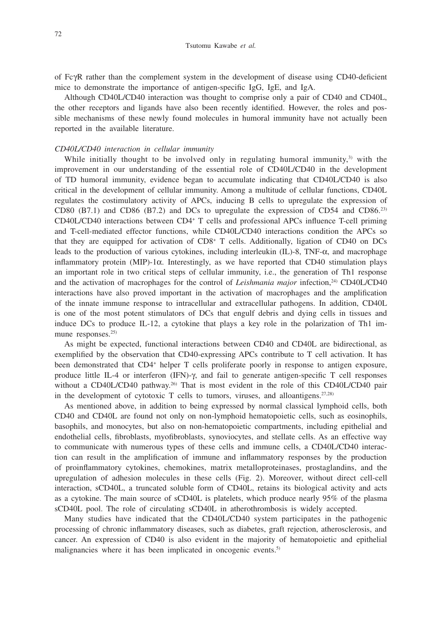of FcgR rather than the complement system in the development of disease using CD40-deficient mice to demonstrate the importance of antigen-specific IgG, IgE, and IgA.

Although CD40L/CD40 interaction was thought to comprise only a pair of CD40 and CD40L, the other receptors and ligands have also been recently identified. However, the roles and possible mechanisms of these newly found molecules in humoral immunity have not actually been reported in the available literature.

## *CD40L/CD40 interaction in cellular immunity*

While initially thought to be involved only in regulating humoral immunity, $3$  with the improvement in our understanding of the essential role of CD40L/CD40 in the development of TD humoral immunity, evidence began to accumulate indicating that CD40L/CD40 is also critical in the development of cellular immunity. Among a multitude of cellular functions, CD40L regulates the costimulatory activity of APCs, inducing B cells to upregulate the expression of CD80 (B7.1) and CD86 (B7.2) and DCs to upregulate the expression of CD54 and CD86.23) CD40L/CD40 interactions between CD4+ T cells and professional APCs influence T-cell priming and T-cell-mediated effector functions, while CD40L/CD40 interactions condition the APCs so that they are equipped for activation of CD8+ T cells. Additionally, ligation of CD40 on DCs leads to the production of various cytokines, including interleukin (IL)-8, TNF- $\alpha$ , and macrophage inflammatory protein (MIP)-1 $\alpha$ . Interestingly, as we have reported that CD40 stimulation plays an important role in two critical steps of cellular immunity, i.e., the generation of Th1 response and the activation of macrophages for the control of *Leishmania major* infection,24) CD40L/CD40 interactions have also proved important in the activation of macrophages and the amplification of the innate immune response to intracellular and extracellular pathogens. In addition, CD40L is one of the most potent stimulators of DCs that engulf debris and dying cells in tissues and induce DCs to produce IL-12, a cytokine that plays a key role in the polarization of Th1 immune responses.<sup>25)</sup>

As might be expected, functional interactions between CD40 and CD40L are bidirectional, as exemplified by the observation that CD40-expressing APCs contribute to T cell activation. It has been demonstrated that CD4<sup>+</sup> helper T cells proliferate poorly in response to antigen exposure, produce little IL-4 or interferon  $(IFN)$ - $\gamma$ , and fail to generate antigen-specific T cell responses without a CD40L/CD40 pathway.<sup>26)</sup> That is most evident in the role of this CD40L/CD40 pair in the development of cytotoxic  $T$  cells to tumors, viruses, and alloantigens.<sup>27,28)</sup>

As mentioned above, in addition to being expressed by normal classical lymphoid cells, both CD40 and CD40L are found not only on non-lymphoid hematopoietic cells, such as eosinophils, basophils, and monocytes, but also on non-hematopoietic compartments, including epithelial and endothelial cells, fibroblasts, myofibroblasts, synoviocytes, and stellate cells. As an effective way to communicate with numerous types of these cells and immune cells, a CD40L/CD40 interaction can result in the amplification of immune and inflammatory responses by the production of proinflammatory cytokines, chemokines, matrix metalloproteinases, prostaglandins, and the upregulation of adhesion molecules in these cells (Fig. 2). Moreover, without direct cell-cell interaction, sCD40L, a truncated soluble form of CD40L, retains its biological activity and acts as a cytokine. The main source of sCD40L is platelets, which produce nearly 95% of the plasma sCD40L pool. The role of circulating sCD40L in atherothrombosis is widely accepted.

Many studies have indicated that the CD40L/CD40 system participates in the pathogenic processing of chronic inflammatory diseases, such as diabetes, graft rejection, atherosclerosis, and cancer. An expression of CD40 is also evident in the majority of hematopoietic and epithelial malignancies where it has been implicated in oncogenic events.<sup>5)</sup>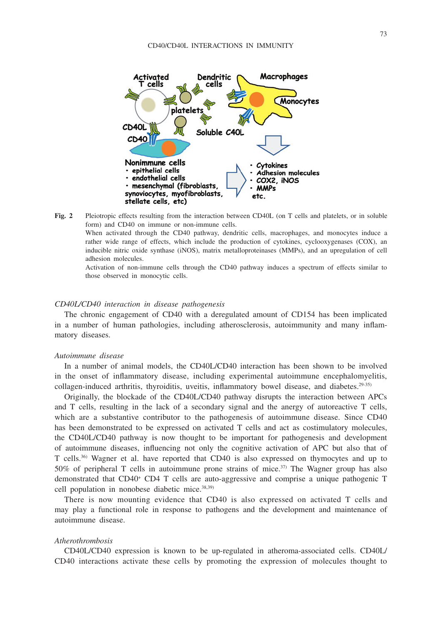

**Fig. 2** Pleiotropic effects resulting from the interaction between CD40L (on T cells and platelets, or in soluble form) and CD40 on immune or non-immune cells.

 When activated through the CD40 pathway, dendritic cells, macrophages, and monocytes induce a rather wide range of effects, which include the production of cytokines, cyclooxygenases (COX), an inducible nitric oxide synthase (iNOS), matrix metalloproteinases (MMPs), and an upregulation of cell adhesion molecules.

 Activation of non-immune cells through the CD40 pathway induces a spectrum of effects similar to those observed in monocytic cells.

## *CD40L/CD40 interaction in disease pathogenesis*

The chronic engagement of CD40 with a deregulated amount of CD154 has been implicated in a number of human pathologies, including atherosclerosis, autoimmunity and many inflammatory diseases.

#### *Autoimmune disease*

In a number of animal models, the CD40L/CD40 interaction has been shown to be involved in the onset of inflammatory disease, including experimental autoimmune encephalomyelitis, collagen-induced arthritis, thyroiditis, uveitis, inflammatory bowel disease, and diabetes.<sup>29-35)</sup>

Originally, the blockade of the CD40L/CD40 pathway disrupts the interaction between APCs and T cells, resulting in the lack of a secondary signal and the anergy of autoreactive T cells, which are a substantive contributor to the pathogenesis of autoimmune disease. Since CD40 has been demonstrated to be expressed on activated T cells and act as costimulatory molecules, the CD40L/CD40 pathway is now thought to be important for pathogenesis and development of autoimmune diseases, influencing not only the cognitive activation of APC but also that of T cells.36) Wagner et al. have reported that CD40 is also expressed on thymocytes and up to 50% of peripheral T cells in autoimmune prone strains of mice.<sup>37)</sup> The Wagner group has also demonstrated that CD40<sup>+</sup> CD4 T cells are auto-aggressive and comprise a unique pathogenic T cell population in nonobese diabetic mice.38,39)

There is now mounting evidence that CD40 is also expressed on activated T cells and may play a functional role in response to pathogens and the development and maintenance of autoimmune disease.

#### *Atherothrombosis*

CD40L/CD40 expression is known to be up-regulated in atheroma-associated cells. CD40L/ CD40 interactions activate these cells by promoting the expression of molecules thought to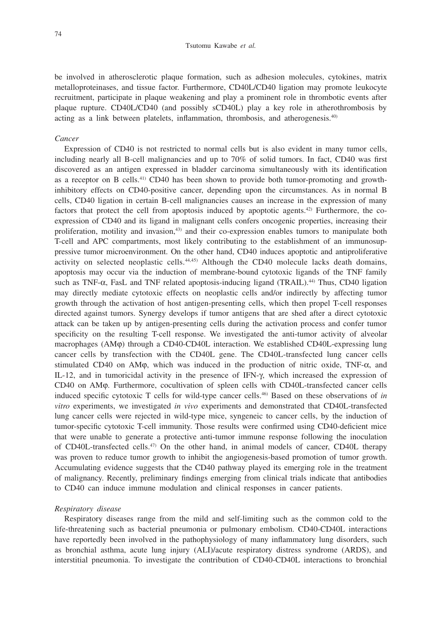be involved in atherosclerotic plaque formation, such as adhesion molecules, cytokines, matrix metalloproteinases, and tissue factor. Furthermore, CD40L/CD40 ligation may promote leukocyte recruitment, participate in plaque weakening and play a prominent role in thrombotic events after plaque rupture. CD40L/CD40 (and possibly sCD40L) play a key role in atherothrombosis by acting as a link between platelets, inflammation, thrombosis, and atherogenesis.40)

## *Cancer*

Expression of CD40 is not restricted to normal cells but is also evident in many tumor cells, including nearly all B-cell malignancies and up to 70% of solid tumors. In fact, CD40 was first discovered as an antigen expressed in bladder carcinoma simultaneously with its identification as a receptor on B cells.41) CD40 has been shown to provide both tumor-promoting and growthinhibitory effects on CD40-positive cancer, depending upon the circumstances. As in normal B cells, CD40 ligation in certain B-cell malignancies causes an increase in the expression of many factors that protect the cell from apoptosis induced by apoptotic agents.42) Furthermore, the coexpression of CD40 and its ligand in malignant cells confers oncogenic properties, increasing their proliferation, motility and invasion,<sup>43)</sup> and their co-expression enables tumors to manipulate both T-cell and APC compartments, most likely contributing to the establishment of an immunosuppressive tumor microenvironment. On the other hand, CD40 induces apoptotic and antiproliferative activity on selected neoplastic cells. $44,45$  Although the CD40 molecule lacks death domains, apoptosis may occur via the induction of membrane-bound cytotoxic ligands of the TNF family such as TNF- $\alpha$ , FasL and TNF related apoptosis-inducing ligand (TRAIL).<sup>44)</sup> Thus, CD40 ligation may directly mediate cytotoxic effects on neoplastic cells and/or indirectly by affecting tumor growth through the activation of host antigen-presenting cells, which then propel T-cell responses directed against tumors. Synergy develops if tumor antigens that are shed after a direct cytotoxic attack can be taken up by antigen-presenting cells during the activation process and confer tumor specificity on the resulting T-cell response. We investigated the anti-tumor activity of alveolar macrophages (AMφ) through a CD40-CD40L interaction. We established CD40L-expressing lung cancer cells by transfection with the CD40L gene. The CD40L-transfected lung cancer cells stimulated CD40 on AM $\varphi$ , which was induced in the production of nitric oxide, TNF- $\alpha$ , and IL-12, and in tumoricidal activity in the presence of IFN- $\gamma$ , which increased the expression of CD40 on AMφ. Furthermore, cocultivation of spleen cells with CD40L-transfected cancer cells induced specific cytotoxic T cells for wild-type cancer cells.46) Based on these observations of *in vitro* experiments, we investigated *in vivo* experiments and demonstrated that CD40L-transfected lung cancer cells were rejected in wild-type mice, syngeneic to cancer cells, by the induction of tumor-specific cytotoxic T-cell immunity. Those results were confirmed using CD40-deficient mice that were unable to generate a protective anti-tumor immune response following the inoculation of CD40L-transfected cells.47) On the other hand, in animal models of cancer, CD40L therapy was proven to reduce tumor growth to inhibit the angiogenesis-based promotion of tumor growth. Accumulating evidence suggests that the CD40 pathway played its emerging role in the treatment of malignancy. Recently, preliminary findings emerging from clinical trials indicate that antibodies to CD40 can induce immune modulation and clinical responses in cancer patients.

### *Respiratory disease*

Respiratory diseases range from the mild and self-limiting such as the common cold to the life-threatening such as bacterial pneumonia or pulmonary embolism. CD40-CD40L interactions have reportedly been involved in the pathophysiology of many inflammatory lung disorders, such as bronchial asthma, acute lung injury (ALI)/acute respiratory distress syndrome (ARDS), and interstitial pneumonia. To investigate the contribution of CD40-CD40L interactions to bronchial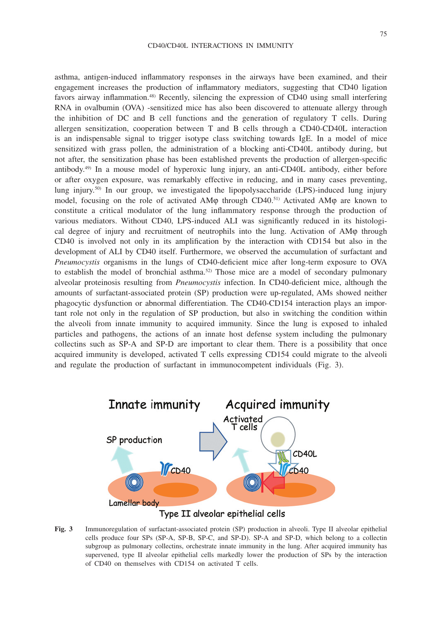asthma, antigen-induced inflammatory responses in the airways have been examined, and their engagement increases the production of inflammatory mediators, suggesting that CD40 ligation favors airway inflammation.48) Recently, silencing the expression of CD40 using small interfering RNA in ovalbumin (OVA) -sensitized mice has also been discovered to attenuate allergy through the inhibition of DC and B cell functions and the generation of regulatory T cells. During allergen sensitization, cooperation between T and B cells through a CD40-CD40L interaction is an indispensable signal to trigger isotype class switching towards IgE. In a model of mice sensitized with grass pollen, the administration of a blocking anti-CD40L antibody during, but not after, the sensitization phase has been established prevents the production of allergen-specific antibody.49) In a mouse model of hyperoxic lung injury, an anti-CD40L antibody, either before or after oxygen exposure, was remarkably effective in reducing, and in many cases preventing, lung injury.<sup>50)</sup> In our group, we investigated the lipopolysaccharide (LPS)-induced lung injury model, focusing on the role of activated AM $\phi$  through CD40.<sup>51)</sup> Activated AM $\phi$  are known to constitute a critical modulator of the lung inflammatory response through the production of various mediators. Without CD40, LPS-induced ALI was significantly reduced in its histological degree of injury and recruitment of neutrophils into the lung. Activation of AMφ through CD40 is involved not only in its amplification by the interaction with CD154 but also in the development of ALI by CD40 itself. Furthermore, we observed the accumulation of surfactant and *Pneumocystis* organisms in the lungs of CD40-deficient mice after long-term exposure to OVA to establish the model of bronchial asthma.<sup>52)</sup> Those mice are a model of secondary pulmonary alveolar proteinosis resulting from *Pneumocystis* infection. In CD40-deficient mice, although the amounts of surfactant-associated protein (SP) production were up-regulated, AMs showed neither phagocytic dysfunction or abnormal differentiation. The CD40-CD154 interaction plays an important role not only in the regulation of SP production, but also in switching the condition within the alveoli from innate immunity to acquired immunity. Since the lung is exposed to inhaled particles and pathogens, the actions of an innate host defense system including the pulmonary collectins such as SP-A and SP-D are important to clear them. There is a possibility that once acquired immunity is developed, activated T cells expressing CD154 could migrate to the alveoli and regulate the production of surfactant in immunocompetent individuals (Fig. 3).



Type II alveolar epithelial cells

**Fig. 3** Immunoregulation of surfactant-associated protein (SP) production in alveoli. Type II alveolar epithelial cells produce four SPs (SP-A, SP-B, SP-C, and SP-D). SP-A and SP-D, which belong to a collectin subgroup as pulmonary collectins, orchestrate innate immunity in the lung. After acquired immunity has supervened, type II alveolar epithelial cells markedly lower the production of SPs by the interaction of CD40 on themselves with CD154 on activated T cells.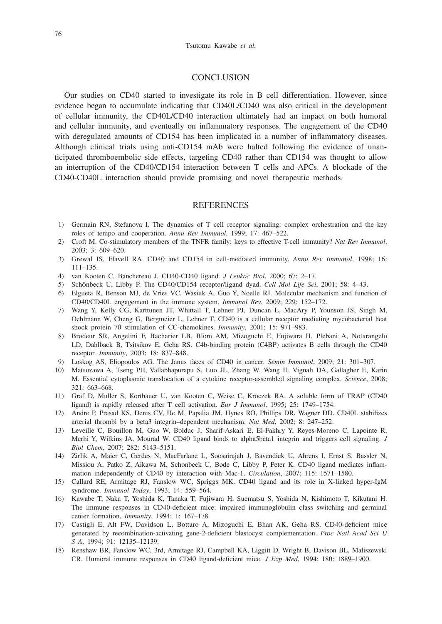### **CONCLUSION**

Our studies on CD40 started to investigate its role in B cell differentiation. However, since evidence began to accumulate indicating that CD40L/CD40 was also critical in the development of cellular immunity, the CD40L/CD40 interaction ultimately had an impact on both humoral and cellular immunity, and eventually on inflammatory responses. The engagement of the CD40 with deregulated amounts of CD154 has been implicated in a number of inflammatory diseases. Although clinical trials using anti-CD154 mAb were halted following the evidence of unanticipated thromboembolic side effects, targeting CD40 rather than CD154 was thought to allow an interruption of the CD40/CD154 interaction between T cells and APCs. A blockade of the CD40-CD40L interaction should provide promising and novel therapeutic methods.

# **REFERENCES**

- 1) Germain RN, Stefanova I. The dynamics of T cell receptor signaling: complex orchestration and the key roles of tempo and cooperation. *Annu Rev Immunol*, 1999; 17: 467–522.
- 2) Croft M. Co-stimulatory members of the TNFR family: keys to effective T-cell immunity? *Nat Rev Immunol*, 2003; 3: 609–620.
- 3) Grewal IS, Flavell RA. CD40 and CD154 in cell-mediated immunity. *Annu Rev Immunol*, 1998; 16: 111–135.
- 4) van Kooten C, Banchereau J. CD40-CD40 ligand. *J Leukoc Biol*, 2000; 67: 2–17.
- 5) SchÖnbeck U, Libby P. The CD40/CD154 receptor/ligand dyad. *Cell Mol Life Sci*, 2001; 58: 4–43.
- 6) Elgueta R, Benson MJ, de Vries VC, Wasiuk A, Guo Y, Noelle RJ. Molecular mechanism and function of CD40/CD40L engagement in the immune system. *Immunol Rev*, 2009; 229: 152–172.
- 7) Wang Y, Kelly CG, Karttunen JT, Whittall T, Lehner PJ, Duncan L, MacAry P, Younson JS, Singh M, Oehlmann W, Cheng G, Bergmeier L, Lehner T. CD40 is a cellular receptor mediating mycobacterial heat shock protein 70 stimulation of CC-chemokines. *Immunity*, 2001; 15: 971–983.
- 8) Brodeur SR, Angelini F, Bacharier LB, Blom AM, Mizoguchi E, Fujiwara H, Plebani A, Notarangelo LD, Dahlback B, Tsitsikov E, Geha RS. C4b-binding protein (C4BP) activates B cells through the CD40 receptor. *Immunity*, 2003; 18: 837–848.
- 9) Loskog AS, Eliopoulos AG. The Janus faces of CD40 in cancer. *Semin Immunol*, 2009; 21: 301–307.
- 10) Matsuzawa A, Tseng PH, Vallabhapurapu S, Luo JL, Zhang W, Wang H, Vignali DA, Gallagher E, Karin M. Essential cytoplasmic translocation of a cytokine receptor-assembled signaling complex. *Science*, 2008; 321: 663–668.
- 11) Graf D, Muller S, Korthauer U, van Kooten C, Weise C, Kroczek RA. A soluble form of TRAP (CD40 ligand) is rapidly released after T cell activation. *Eur J Immunol*, 1995; 25: 1749–1754.
- 12) Andre P, Prasad KS, Denis CV, He M, Papalia JM, Hynes RO, Phillips DR, Wagner DD. CD40L stabilizes arterial thrombi by a beta3 integrin–dependent mechanism. *Nat Med*, 2002; 8: 247–252.
- 13) Leveille C, Bouillon M, Guo W, Bolduc J, Sharif-Askari E, El-Fakhry Y, Reyes-Moreno C, Lapointe R, Merhi Y, Wilkins JA, Mourad W. CD40 ligand binds to alpha5beta1 integrin and triggers cell signaling. *J Biol Chem*, 2007; 282: 5143–5151.
- 14) Zirlik A, Maier C, Gerdes N, MacFarlane L, Soosairajah J, Bavendiek U, Ahrens I, Ernst S, Bassler N, Missiou A, Patko Z, Aikawa M, Schonbeck U, Bode C, Libby P, Peter K. CD40 ligand mediates inflammation independently of CD40 by interaction with Mac-1. *Circulation*, 2007; 115: 1571–1580.
- 15) Callard RE, Armitage RJ, Fanslow WC, Spriggs MK. CD40 ligand and its role in X-linked hyper-IgM syndrome. *Immunol Today*, 1993; 14: 559–564.
- 16) Kawabe T, Naka T, Yoshida K, Tanaka T, Fujiwara H, Suematsu S, Yoshida N, Kishimoto T, Kikutani H. The immune responses in CD40-deficient mice: impaired immunoglobulin class switching and germinal center formation. *Immunity*, 1994; 1: 167–178.
- 17) Castigli E, Alt FW, Davidson L, Bottaro A, Mizoguchi E, Bhan AK, Geha RS. CD40-deficient mice generated by recombination-activating gene-2-deficient blastocyst complementation. *Proc Natl Acad Sci U S A*, 1994; 91: 12135–12139.
- 18) Renshaw BR, Fanslow WC, 3rd, Armitage RJ, Campbell KA, Liggitt D, Wright B, Davison BL, Maliszewski CR. Humoral immune responses in CD40 ligand-deficient mice. *J Exp Med*, 1994; 180: 1889–1900.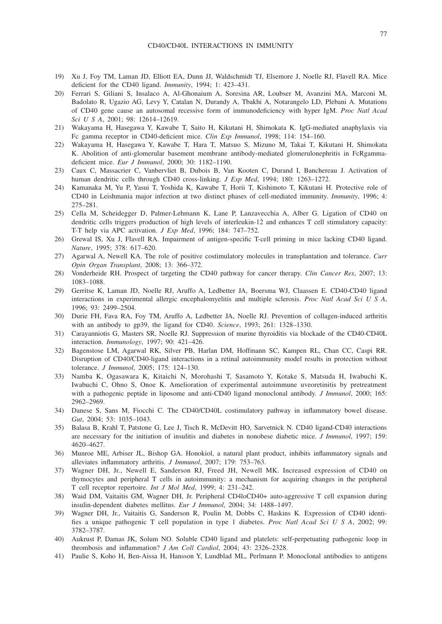- 19) Xu J, Foy TM, Laman JD, Elliott EA, Dunn JJ, Waldschmidt TJ, Elsemore J, Noelle RJ, Flavell RA. Mice deficient for the CD40 ligand. *Immunity*, 1994; 1: 423–431.
- 20) Ferrari S, Giliani S, Insalaco A, Al-Ghonaium A, Soresina AR, Loubser M, Avanzini MA, Marconi M, Badolato R, Ugazio AG, Levy Y, Catalan N, Durandy A, Tbakhi A, Notarangelo LD, Plebani A. Mutations of CD40 gene cause an autosomal recessive form of immunodeficiency with hyper IgM. *Proc Natl Acad Sci U S A*, 2001; 98: 12614–12619.
- 21) Wakayama H, Hasegawa Y, Kawabe T, Saito H, Kikutani H, Shimokata K. IgG-mediated anaphylaxis via Fc gamma receptor in CD40-deficient mice. *Clin Exp Immunol*, 1998; 114: 154–160.
- 22) Wakayama H, Hasegawa Y, Kawabe T, Hara T, Matsuo S, Mizuno M, Takai T, Kikutani H, Shimokata K. Abolition of anti-glomerular basement membrane antibody-mediated glomerulonephritis in FcRgammadeficient mice. *Eur J Immunol*, 2000; 30: 1182–1190.
- 23) Caux C, Massacrier C, Vanbervliet B, Dubois B, Van Kooten C, Durand I, Banchereau J. Activation of human dendritic cells through CD40 cross-linking. *J Exp Med*, 1994; 180: 1263–1272.
- 24) Kamanaka M, Yu P, Yasui T, Yoshida K, Kawabe T, Horii T, Kishimoto T, Kikutani H. Protective role of CD40 in Leishmania major infection at two distinct phases of cell-mediated immunity. *Immunity*, 1996; 4: 275–281.
- 25) Cella M, Scheidegger D, Palmer-Lehmann K, Lane P, Lanzavecchia A, Alber G. Ligation of CD40 on dendritic cells triggers production of high levels of interleukin-12 and enhances T cell stimulatory capacity: T-T help via APC activation. *J Exp Med*, 1996; 184: 747–752.
- 26) Grewal IS, Xu J, Flavell RA. Impairment of antigen-specific T-cell priming in mice lacking CD40 ligand. *Nature*, 1995; 378: 617–620.
- 27) Agarwal A, Newell KA. The role of positive costimulatory molecules in transplantation and tolerance. *Curr Opin Organ Transplant*, 2008; 13: 366–372.
- 28) Vonderheide RH. Prospect of targeting the CD40 pathway for cancer therapy. *Clin Cancer Res*, 2007; 13: 1083–1088.
- 29) Gerritse K, Laman JD, Noelle RJ, Aruffo A, Ledbetter JA, Boersma WJ, Claassen E. CD40-CD40 ligand interactions in experimental allergic encephalomyelitis and multiple sclerosis. *Proc Natl Acad Sci U S A*, 1996; 93: 2499–2504.
- 30) Durie FH, Fava RA, Foy TM, Aruffo A, Ledbetter JA, Noelle RJ. Prevention of collagen-induced arthritis with an antibody to gp39, the ligand for CD40. *Science*, 1993; 261: 1328–1330.
- 31) Carayanniotis G, Masters SR, Noelle RJ. Suppression of murine thyroiditis via blockade of the CD40-CD40L interaction. *Immunology*, 1997; 90: 421–426.
- 32) Bagenstose LM, Agarwal RK, Silver PB, Harlan DM, Hoffmann SC, Kampen RL, Chan CC, Caspi RR. Disruption of CD40/CD40-ligand interactions in a retinal autoimmunity model results in protection without tolerance. *J Immunol*, 2005; 175: 124–130.
- 33) Namba K, Ogasawara K, Kitaichi N, Morohashi T, Sasamoto Y, Kotake S, Matsuda H, Iwabuchi K, Iwabuchi C, Ohno S, Onoe K. Amelioration of experimental autoimmune uveoretinitis by pretreatment with a pathogenic peptide in liposome and anti-CD40 ligand monoclonal antibody. *J Immunol*, 2000; 165: 2962–2969.
- 34) Danese S, Sans M, Fiocchi C. The CD40/CD40L costimulatory pathway in inflammatory bowel disease. *Gut*, 2004; 53: 1035–1043.
- 35) Balasa B, Krahl T, Patstone G, Lee J, Tisch R, McDevitt HO, Sarvetnick N. CD40 ligand-CD40 interactions are necessary for the initiation of insulitis and diabetes in nonobese diabetic mice. *J Immunol*, 1997; 159: 4620–4627.
- 36) Munroe ME, Arbiser JL, Bishop GA. Honokiol, a natural plant product, inhibits inflammatory signals and alleviates inflammatory arthritis. *J Immunol*, 2007; 179: 753–763.
- 37) Wagner DH, Jr., Newell E, Sanderson RJ, Freed JH, Newell MK. Increased expression of CD40 on thymocytes and peripheral T cells in autoimmunity: a mechanism for acquiring changes in the peripheral T cell receptor repertoire. *Int J Mol Med*, 1999; 4: 231–242.
- 38) Waid DM, Vaitaitis GM, Wagner DH, Jr. Peripheral CD4loCD40+ auto-aggressive T cell expansion during insulin-dependent diabetes mellitus. *Eur J Immunol*, 2004; 34: 1488–1497.
- 39) Wagner DH, Jr., Vaitaitis G, Sanderson R, Poulin M, Dobbs C, Haskins K. Expression of CD40 identifies a unique pathogenic T cell population in type 1 diabetes. *Proc Natl Acad Sci U S A*, 2002; 99: 3782–3787.
- 40) Aukrust P, Damas JK, Solum NO. Soluble CD40 ligand and platelets: self-perpetuating pathogenic loop in thrombosis and inflammation? *J Am Coll Cardiol*, 2004; 43: 2326–2328.
- 41) Paulie S, Koho H, Ben-Aissa H, Hansson Y, Lundblad ML, Perlmann P. Monoclonal antibodies to antigens